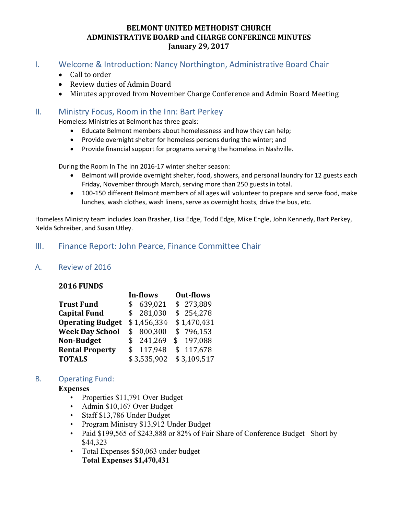### **BELMONT UNITED METHODIST CHURCH ADMINISTRATIVE BOARD and CHARGE CONFERENCE MINUTES January 29, 2017**

### I. Welcome & Introduction: Nancy Northington, Administrative Board Chair

- Call to order
- Review duties of Admin Board
- Minutes approved from November Charge Conference and Admin Board Meeting

## II. Ministry Focus, Room in the Inn: Bart Perkey

Homeless Ministries at Belmont has three goals:

- Educate Belmont members about homelessness and how they can help;
- Provide overnight shelter for homeless persons during the winter; and
- Provide financial support for programs serving the homeless in Nashville.

During the Room In The Inn 2016-17 winter shelter season:

- Belmont will provide overnight shelter, food, showers, and personal laundry for 12 guests each Friday, November through March, serving more than 250 guests in total.
- 100-150 different Belmont members of all ages will volunteer to prepare and serve food, make lunches, wash clothes, wash linens, serve as overnight hosts, drive the bus, etc.

Homeless Ministry team includes Joan Brasher, Lisa Edge, Todd Edge, Mike Engle, John Kennedy, Bart Perkey, Nelda Schreiber, and Susan Utley.

# III. Finance Report: John Pearce, Finance Committee Chair

## A. Review of 2016

#### **2016 FUNDS**

| In-flows |         | <b>Out-flows</b>                                                                   |             |
|----------|---------|------------------------------------------------------------------------------------|-------------|
| \$       |         |                                                                                    | \$273,889   |
|          |         |                                                                                    | \$254,278   |
|          |         |                                                                                    | \$1,470,431 |
|          |         |                                                                                    | \$796,153   |
|          |         |                                                                                    | \$197,088   |
|          | 117,948 |                                                                                    | \$117,678   |
|          |         |                                                                                    | \$3,109,517 |
|          |         | 639,021<br>\$281,030<br>\$1,456,334<br>\$800,300<br>\$241,269<br>\$<br>\$3,535,902 |             |

### B. Operating Fund:

#### **Expenses**

- Properties \$11,791 Over Budget
- Admin \$10,167 Over Budget
- Staff \$13,786 Under Budget
- Program Ministry \$13,912 Under Budget
- Paid \$199,565 of \$243,888 or 82% of Fair Share of Conference Budget Short by \$44,323
- Total Expenses \$50,063 under budget **Total Expenses \$1,470,431**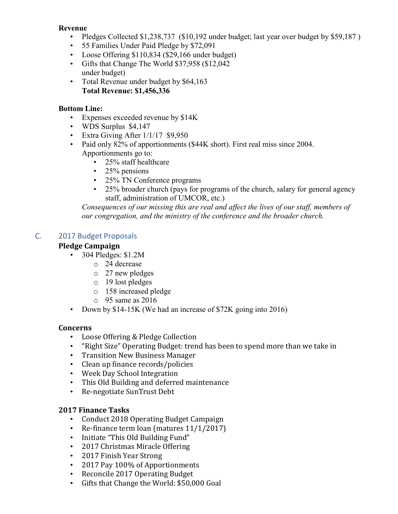### **Revenue**

- Pledges Collected \$1,238,737 (\$10,192 under budget; last year over budget by \$59,187)
- 55 Families Under Paid Pledge by \$72,091
- Loose Offering \$110,834 (\$29,166 under budget)
- Gifts that Change The World \$37,958 (\$12,042 under budget)
- Total Revenue under budget by \$64,163 **Total Revenue: \$1,456,336**

### **Bottom Line:**

- Expenses exceeded revenue by \$14K
- WDS Surplus \$4,147
- Extra Giving After 1/1/17 \$9,950
- Paid only 82% of apportionments (\$44K short). First real miss since 2004. Apportionments go to:
	- 25% staff healthcare
	- $\cdot$  25% pensions
	- 25% TN Conference programs
	- 25% broader church (pays for programs of the church, salary for general agency staff, administration of UMCOR, etc.)

*Consequences of our missing this are real and affect the lives of our staff, members of our congregation, and the ministry of the conference and the broader church.* 

### C. 2017 Budget Proposals

### **Pledge Campaign**

- 304 Pledges: \$1.2M
	- o 24 decrease
	- o 27 new pledges
	- o 19 lost pledges
	- o 158 increased pledge
	- $\circ$  95 same as 2016
- Down by \$14-15K (We had an increase of \$72K going into 2016)

#### **Concerns**

- Loose Offering & Pledge Collection
- "Right Size" Operating Budget: trend has been to spend more than we take in
- Transition New Business Manager
- Clean up finance records/policies
- Week Day School Integration
- This Old Building and deferred maintenance
- Re-negotiate SunTrust Debt

#### **2017 Finance Tasks**

- Conduct 2018 Operating Budget Campaign
- Re-finance term loan (matures 11/1/2017)
- Initiate "This Old Building Fund"
- 2017 Christmas Miracle Offering
- 2017 Finish Year Strong
- 2017 Pay 100% of Apportionments
- Reconcile 2017 Operating Budget
- Gifts that Change the World: \$50,000 Goal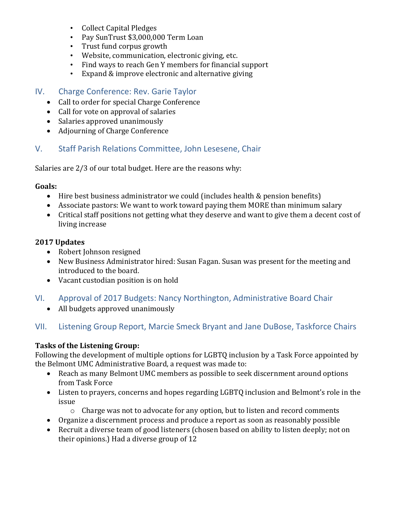- Collect Capital Pledges
- Pay SunTrust \$3,000,000 Term Loan
- Trust fund corpus growth
- Website, communication, electronic giving, etc.
- Find ways to reach Gen Y members for financial support
- Expand & improve electronic and alternative giving

# IV. Charge Conference: Rev. Garie Taylor

- Call to order for special Charge Conference
- Call for vote on approval of salaries
- Salaries approved unanimously
- Adjourning of Charge Conference

# V. Staff Parish Relations Committee, John Lesesene, Chair

Salaries are 2/3 of our total budget. Here are the reasons why:

### **Goals:**

- Hire best business administrator we could (includes health & pension benefits)
- Associate pastors: We want to work toward paying them MORE than minimum salary
- Critical staff positions not getting what they deserve and want to give them a decent cost of living increase

## **2017 Updates**

- Robert Johnson resigned
- New Business Administrator hired: Susan Fagan. Susan was present for the meeting and introduced to the board.
- Vacant custodian position is on hold
- VI. Approval of 2017 Budgets: Nancy Northington, Administrative Board Chair
	- All budgets approved unanimously

# VII. Listening Group Report, Marcie Smeck Bryant and Jane DuBose, Taskforce Chairs

## **Tasks of the Listening Group:**

Following the development of multiple options for LGBTQ inclusion by a Task Force appointed by the Belmont UMC Administrative Board, a request was made to:

- Reach as many Belmont UMC members as possible to seek discernment around options from Task Force
- Listen to prayers, concerns and hopes regarding LGBTQ inclusion and Belmont's role in the issue
	- o Charge was not to advocate for any option, but to listen and record comments
- Organize a discernment process and produce a report as soon as reasonably possible
- Recruit a diverse team of good listeners (chosen based on ability to listen deeply; not on their opinions.) Had a diverse group of 12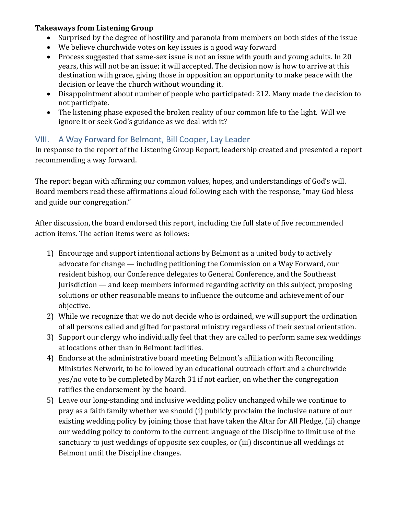## **Takeaways from Listening Group**

- Surprised by the degree of hostility and paranoia from members on both sides of the issue
- We believe churchwide votes on key issues is a good way forward
- Process suggested that same-sex issue is not an issue with youth and young adults. In 20 years, this will not be an issue; it will accepted. The decision now is how to arrive at this destination with grace, giving those in opposition an opportunity to make peace with the decision or leave the church without wounding it.
- Disappointment about number of people who participated: 212. Many made the decision to not participate.
- The listening phase exposed the broken reality of our common life to the light. Will we ignore it or seek God's guidance as we deal with it?

# VIII. A Way Forward for Belmont, Bill Cooper, Lay Leader

In response to the report of the Listening Group Report, leadership created and presented a report recommending a way forward.

The report began with affirming our common values, hopes, and understandings of God's will. Board members read these affirmations aloud following each with the response, "may God bless and guide our congregation."

After discussion, the board endorsed this report, including the full slate of five recommended action items. The action items were as follows:

- 1) Encourage and support intentional actions by Belmont as a united body to actively advocate for change — including petitioning the Commission on a Way Forward, our resident bishop, our Conference delegates to General Conference, and the Southeast Jurisdiction — and keep members informed regarding activity on this subject, proposing solutions or other reasonable means to influence the outcome and achievement of our objective.
- 2) While we recognize that we do not decide who is ordained, we will support the ordination of all persons called and gifted for pastoral ministry regardless of their sexual orientation.
- 3) Support our clergy who individually feel that they are called to perform same sex weddings at locations other than in Belmont facilities.
- 4) Endorse at the administrative board meeting Belmont's affiliation with Reconciling Ministries Network, to be followed by an educational outreach effort and a churchwide yes/no vote to be completed by March 31 if not earlier, on whether the congregation ratifies the endorsement by the board.
- 5) Leave our long-standing and inclusive wedding policy unchanged while we continue to pray as a faith family whether we should (i) publicly proclaim the inclusive nature of our existing wedding policy by joining those that have taken the Altar for All Pledge, (ii) change our wedding policy to conform to the current language of the Discipline to limit use of the sanctuary to just weddings of opposite sex couples, or (iii) discontinue all weddings at Belmont until the Discipline changes.